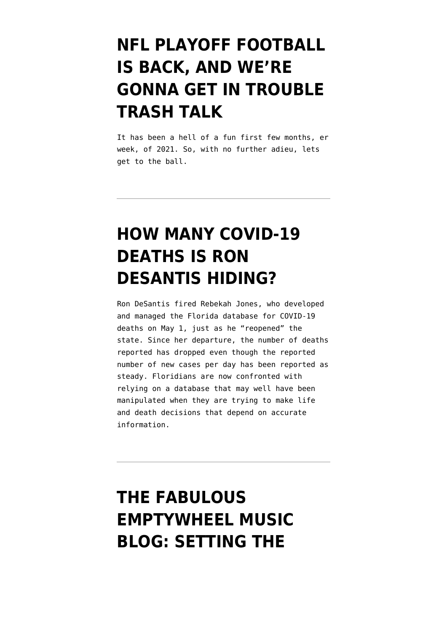# **[NFL PLAYOFF FOOTBALL](https://www.emptywheel.net/2021/01/09/nfl-playoff-football-is-back-and-were-gonna-get-in-trouble-trash-talk/) [IS BACK, AND WE'RE](https://www.emptywheel.net/2021/01/09/nfl-playoff-football-is-back-and-were-gonna-get-in-trouble-trash-talk/) [GONNA GET IN TROUBLE](https://www.emptywheel.net/2021/01/09/nfl-playoff-football-is-back-and-were-gonna-get-in-trouble-trash-talk/) [TRASH TALK](https://www.emptywheel.net/2021/01/09/nfl-playoff-football-is-back-and-were-gonna-get-in-trouble-trash-talk/)**

It has been a hell of a fun first few months, er week, of 2021. So, with no further adieu, lets get to the ball.

### **[HOW MANY COVID-19](https://www.emptywheel.net/2020/05/19/how-many-covid-19-deaths-is-ron-desantis-hiding/) [DEATHS IS RON](https://www.emptywheel.net/2020/05/19/how-many-covid-19-deaths-is-ron-desantis-hiding/) [DESANTIS HIDING?](https://www.emptywheel.net/2020/05/19/how-many-covid-19-deaths-is-ron-desantis-hiding/)**

Ron DeSantis fired Rebekah Jones, who developed and managed the Florida database for COVID-19 deaths on May 1, just as he "reopened" the state. Since her departure, the number of deaths reported has dropped even though the reported number of new cases per day has been reported as steady. Floridians are now confronted with relying on a database that may well have been manipulated when they are trying to make life and death decisions that depend on accurate information.

# **[THE FABULOUS](https://www.emptywheel.net/2020/04/25/the-fabulous-emptywheel-music-blog-setting-the-scene/) [EMPTYWHEEL MUSIC](https://www.emptywheel.net/2020/04/25/the-fabulous-emptywheel-music-blog-setting-the-scene/) [BLOG: SETTING THE](https://www.emptywheel.net/2020/04/25/the-fabulous-emptywheel-music-blog-setting-the-scene/)**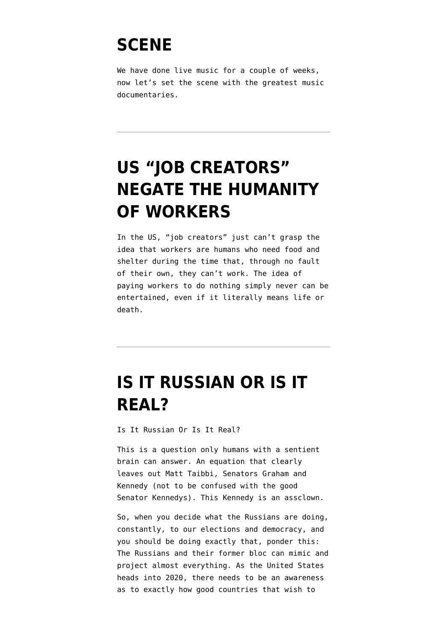#### **[SCENE](https://www.emptywheel.net/2020/04/25/the-fabulous-emptywheel-music-blog-setting-the-scene/)**

We have done live music for a couple of weeks, now let's set the scene with the greatest music documentaries.

# **[US "JOB CREATORS"](https://www.emptywheel.net/2020/04/11/us-job-creators-negate-the-humanity-of-workers/) [NEGATE THE HUMANITY](https://www.emptywheel.net/2020/04/11/us-job-creators-negate-the-humanity-of-workers/) [OF WORKERS](https://www.emptywheel.net/2020/04/11/us-job-creators-negate-the-humanity-of-workers/)**

In the US, "job creators" just can't grasp the idea that workers are humans who need food and shelter during the time that, through no fault of their own, they can't work. The idea of paying workers to do nothing simply never can be entertained, even if it literally means life or death.

#### **[IS IT RUSSIAN OR IS IT](https://www.emptywheel.net/2019/11/27/is-it-russian-or-is-it-real/) [REAL?](https://www.emptywheel.net/2019/11/27/is-it-russian-or-is-it-real/)**

Is It Russian Or Is It Real?

This is a question only humans with a sentient brain can answer. An equation that clearly leaves out Matt Taibbi, Senators [Graham](https://www.politico.com/news/2019/11/25/graham-defends-requesting-biden-docs-073596) and [Kennedy](https://slate.com/news-and-politics/2019/11/republican-senator-kennedy-fox-news-interview-wallace-ukraine-dnc-hack-russia.html) (not to be confused with the good Senator Kennedys). This Kennedy is an assclown.

So, when you decide what the Russians are doing, constantly, to our elections and democracy, and you should be doing exactly that, ponder this: The Russians and their former bloc can mimic and project almost everything. As the United States heads into 2020, there needs to be an awareness as to exactly how good countries that wish to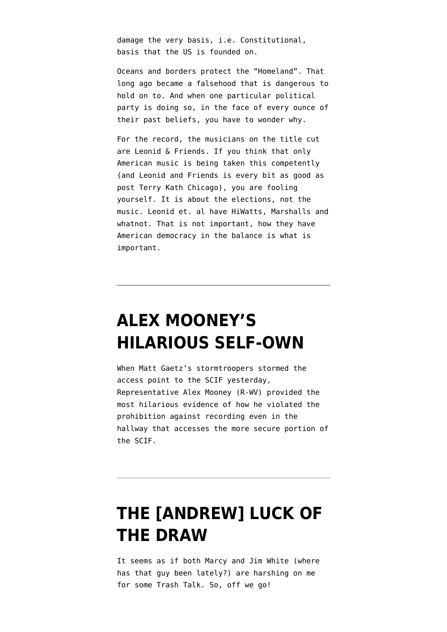damage the very basis, i.e. Constitutional, basis that the US is founded on.

Oceans and borders protect the "Homeland". That long ago became a falsehood that is dangerous to hold on to. And when one particular political party is doing so, in the face of every ounce of their past beliefs, you have to wonder why.

For the record, the musicians on the title cut are Leonid & Friends. If you think that only American music is being taken this competently (and Leonid and Friends is every bit as good as post Terry Kath Chicago), you are fooling yourself. It is about the elections, not the music. Leonid et. al have HiWatts, Marshalls and whatnot. That is not important, how they have American democracy in the balance is what is important.

### **[ALEX MOONEY'S](https://www.emptywheel.net/2019/10/24/alex-mooneys-hilarious-self-own/) [HILARIOUS SELF-OWN](https://www.emptywheel.net/2019/10/24/alex-mooneys-hilarious-self-own/)**

When Matt Gaetz's stormtroopers stormed the access point to the SCIF yesterday, Representative Alex Mooney (R-WV) provided the most hilarious evidence of how he violated the prohibition against recording even in the hallway that accesses the more secure portion of the SCIF.

# **[THE \[ANDREW\] LUCK OF](https://www.emptywheel.net/2019/08/25/the-andrew-luck-of-the-draw/) [THE DRAW](https://www.emptywheel.net/2019/08/25/the-andrew-luck-of-the-draw/)**

It seems as if both Marcy and Jim White (where has that guy been lately?) are harshing on me for some Trash Talk. So, off we go!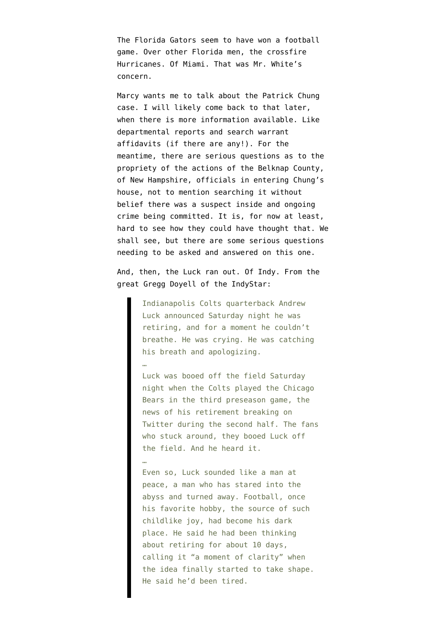The Florida Gators seem to have won a football game. Over other Florida men, the crossfire Hurricanes. Of Miami. That was Mr. White's concern.

Marcy wants me to talk about the Patrick Chung case. I will likely come back to that later, when there is more information available. Like departmental reports and search warrant affidavits (if there are any!). For the meantime, there are serious questions as to the propriety of the actions of the Belknap County, of New Hampshire, officials in entering Chung's house, not to mention searching it without belief there was a suspect inside and ongoing crime being committed. It is, for now at least, hard to see how they could have thought that. We shall see, but there are some serious questions needing to be asked and answered on this one.

And, then, the Luck ran out. Of Indy. [From the](https://www.indystar.com/story/sports/columnists/gregg-doyel/2019/08/24/why-did-andrew-luck-quit-colts-qb-shocks-his-coach-gm-owner-city-chris-ballard-jim-irsay/2110681001/) [great Gregg Doyell of the IndyStar:](https://www.indystar.com/story/sports/columnists/gregg-doyel/2019/08/24/why-did-andrew-luck-quit-colts-qb-shocks-his-coach-gm-owner-city-chris-ballard-jim-irsay/2110681001/)

> Indianapolis Colts quarterback Andrew Luck announced Saturday night he was retiring, and for a moment he couldn't breathe. He was crying. He was catching his breath and apologizing.

…

…

Luck was booed off the field Saturday night when the Colts played the Chicago Bears in the third preseason game, the news of his retirement breaking on Twitter during the second half. The fans who stuck around, they booed Luck off the field. And he heard it.

Even so, Luck sounded like a man at peace, a man who has stared into the abyss and turned away. Football, once his favorite hobby, the source of such childlike joy, had become his dark place. He said he had been thinking about retiring for about 10 days, calling it "a moment of clarity" when the idea finally started to take shape. He said he'd been tired.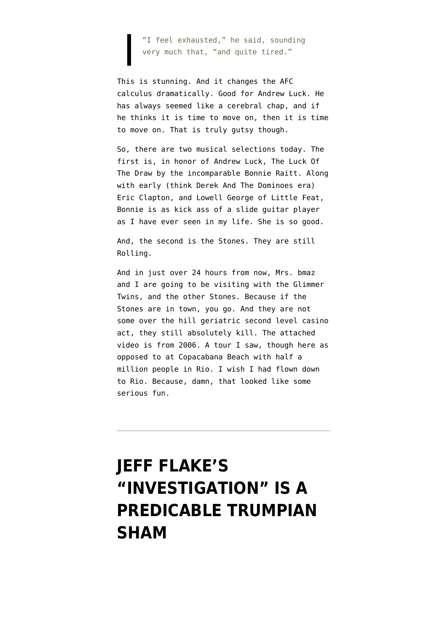"I feel exhausted," he said, sounding very much that, "and quite tired."

This is stunning. And it changes the AFC calculus dramatically. Good for Andrew Luck. He has always seemed like a cerebral chap, and if he thinks it is time to move on, then it is time to move on. That is truly gutsy though.

So, there are two musical selections today. The first is, in honor of Andrew Luck, The Luck Of The Draw by the incomparable Bonnie Raitt. Along with early (think Derek And The Dominoes era) Eric Clapton, and Lowell George of Little Feat, Bonnie is as kick ass of a slide guitar player as I have ever seen in my life. She is so good.

And, the second is the Stones. They are still Rolling.

And in just over 24 hours from now, Mrs. bmaz and I are going to be visiting with the Glimmer Twins, and the other Stones. Because if the Stones are in town, you go. And they are not some over the hill geriatric second level casino act, they still absolutely kill. The attached video is from 2006. A tour I saw, though here as opposed to at Copacabana Beach with half a million people in Rio. I wish I had flown down to Rio. Because, damn, that looked like some serious fun.

# **[JEFF FLAKE'S](https://www.emptywheel.net/2018/09/29/jeff-flakes-investigation-is-a-predicable-trumpian-sham/) ["INVESTIGATION" IS A](https://www.emptywheel.net/2018/09/29/jeff-flakes-investigation-is-a-predicable-trumpian-sham/) [PREDICABLE TRUMPIAN](https://www.emptywheel.net/2018/09/29/jeff-flakes-investigation-is-a-predicable-trumpian-sham/) [SHAM](https://www.emptywheel.net/2018/09/29/jeff-flakes-investigation-is-a-predicable-trumpian-sham/)**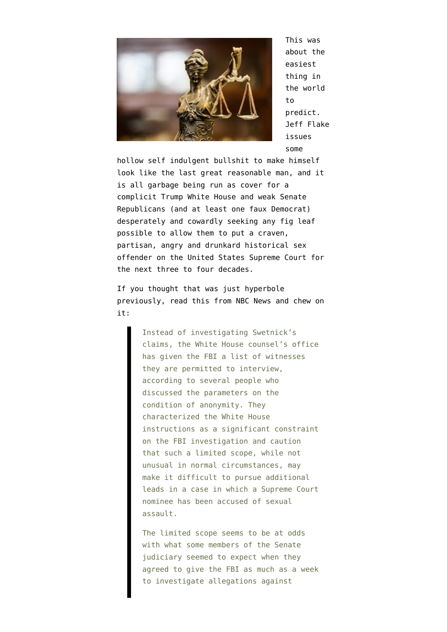

This was about the [easiest](https://www.emptywheel.net/2018/09/28/the-record-supports-christine-blasey-ford/#comment-753278) [thing in](https://www.emptywheel.net/2018/09/28/the-record-supports-christine-blasey-ford/#comment-753278) [the world](https://www.emptywheel.net/2018/09/28/the-record-supports-christine-blasey-ford/#comment-753278) [to](https://www.emptywheel.net/2018/09/28/the-record-supports-christine-blasey-ford/#comment-753278) [predict](https://www.emptywheel.net/2018/09/28/the-record-supports-christine-blasey-ford/#comment-753278). Jeff Flake issues some

hollow self indulgent bullshit to make himself look like the last great reasonable man, and it is all garbage being run as cover for a complicit Trump White House and weak Senate Republicans (and at least one faux Democrat) desperately and cowardly seeking any fig leaf possible to allow them to put a craven, partisan, angry and drunkard historical sex offender on the United States Supreme Court for the next three to four decades.

If you thought that was just hyperbole previously, [read this from NBC News](https://www.nbcnews.com/news/amp/ncna915061?__twitter_impression=true) and chew on it:

> Instead of investigating Swetnick's claims, the White House counsel's office has given the FBI a list of witnesses they are permitted to interview, according to several people who discussed the parameters on the condition of anonymity. They characterized the White House instructions as a significant constraint on the FBI investigation and caution that such a limited scope, while not unusual in normal circumstances, may make it difficult to pursue additional leads in a case in which a Supreme Court nominee has been accused of sexual assault.

> The limited scope seems to be at odds with what some members of the Senate judiciary seemed to expect when they agreed to give the FBI as much as a week to investigate allegations against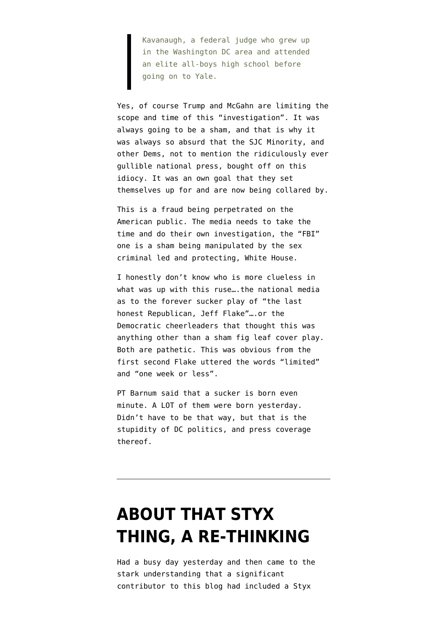Kavanaugh, a federal judge who grew up in the Washington DC area and attended an elite all-boys high school before going on to Yale.

Yes, of course Trump and McGahn are limiting the scope and time of this "investigation". It was always going to be a sham, and that is why it was always so absurd that the SJC Minority, and other Dems, not to mention the ridiculously ever gullible national press, bought off on this idiocy. It was an own goal that they set themselves up for and are now being collared by.

This is a fraud being perpetrated on the American public. The media needs to take the time and do their own investigation, the "FBI" one is a sham being manipulated by the sex criminal led and protecting, White House.

I honestly don't know who is more clueless in what was up with this ruse….the national media as to the forever sucker play of "the last honest Republican, Jeff Flake"….or the Democratic cheerleaders that thought this was anything other than a sham fig leaf cover play. Both are pathetic. This was obvious from the first second Flake uttered the words "limited" and "one week or less".

PT Barnum said that a sucker is born even minute. A LOT of them were born yesterday. Didn't have to be that way, but that is the stupidity of DC politics, and press coverage thereof.

### **[ABOUT THAT STYX](https://www.emptywheel.net/2018/08/04/about-that-styx-thing-a-re-thinking/) [THING, A RE-THINKING](https://www.emptywheel.net/2018/08/04/about-that-styx-thing-a-re-thinking/)**

Had a busy day yesterday and then came to the stark understanding that a [significant](https://www.emptywheel.net/2018/08/03/the-russian-nra-spy-just-remember-that-its-a-grand-illusion/) [contributor to this blog had included a Styx](https://www.emptywheel.net/2018/08/03/the-russian-nra-spy-just-remember-that-its-a-grand-illusion/)